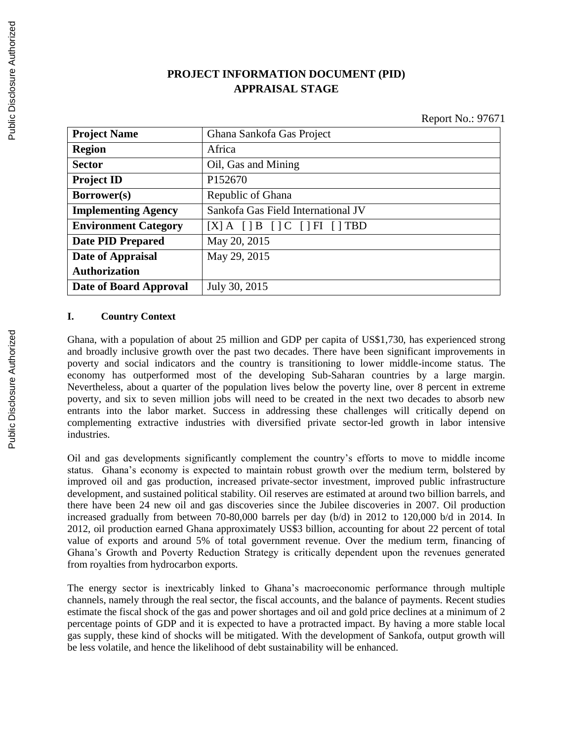# **PROJECT INFORMATION DOCUMENT (PID) APPRAISAL STAGE**

Report No.: 97671

| <b>Project Name</b>         | Ghana Sankofa Gas Project                          |
|-----------------------------|----------------------------------------------------|
| <b>Region</b>               | Africa                                             |
| <b>Sector</b>               | Oil, Gas and Mining                                |
| <b>Project ID</b>           | P152670                                            |
| <b>Borrower(s)</b>          | Republic of Ghana                                  |
| <b>Implementing Agency</b>  | Sankofa Gas Field International JV                 |
| <b>Environment Category</b> | $[X]$ A $[$ $]$ B $[$ $]$ C $[$ $]$ FI $[$ $]$ TBD |
| <b>Date PID Prepared</b>    | May 20, 2015                                       |
| Date of Appraisal           | May 29, 2015                                       |
| <b>Authorization</b>        |                                                    |
| Date of Board Approval      | July 30, 2015                                      |

#### **I. Country Context**

Ghana, with a population of about 25 million and GDP per capita of US\$1,730, has experienced strong and broadly inclusive growth over the past two decades. There have been significant improvements in poverty and social indicators and the country is transitioning to lower middle-income status. The economy has outperformed most of the developing Sub-Saharan countries by a large margin. Nevertheless, about a quarter of the population lives below the poverty line, over 8 percent in extreme poverty, and six to seven million jobs will need to be created in the next two decades to absorb new entrants into the labor market. Success in addressing these challenges will critically depend on complementing extractive industries with diversified private sector-led growth in labor intensive industries.

Oil and gas developments significantly complement the country's efforts to move to middle income status. Ghana's economy is expected to maintain robust growth over the medium term, bolstered by improved oil and gas production, increased private-sector investment, improved public infrastructure development, and sustained political stability. Oil reserves are estimated at around two billion barrels, and there have been 24 new oil and gas discoveries since the Jubilee discoveries in 2007. Oil production increased gradually from between 70-80,000 barrels per day (b/d) in 2012 to 120,000 b/d in 2014. In 2012, oil production earned Ghana approximately US\$3 billion, accounting for about 22 percent of total value of exports and around 5% of total government revenue. Over the medium term, financing of Ghana's Growth and Poverty Reduction Strategy is critically dependent upon the revenues generated from royalties from hydrocarbon exports.

The energy sector is inextricably linked to Ghana's macroeconomic performance through multiple channels, namely through the real sector, the fiscal accounts, and the balance of payments. Recent studies estimate the fiscal shock of the gas and power shortages and oil and gold price declines at a minimum of 2 percentage points of GDP and it is expected to have a protracted impact. By having a more stable local gas supply, these kind of shocks will be mitigated. With the development of Sankofa, output growth will be less volatile, and hence the likelihood of debt sustainability will be enhanced.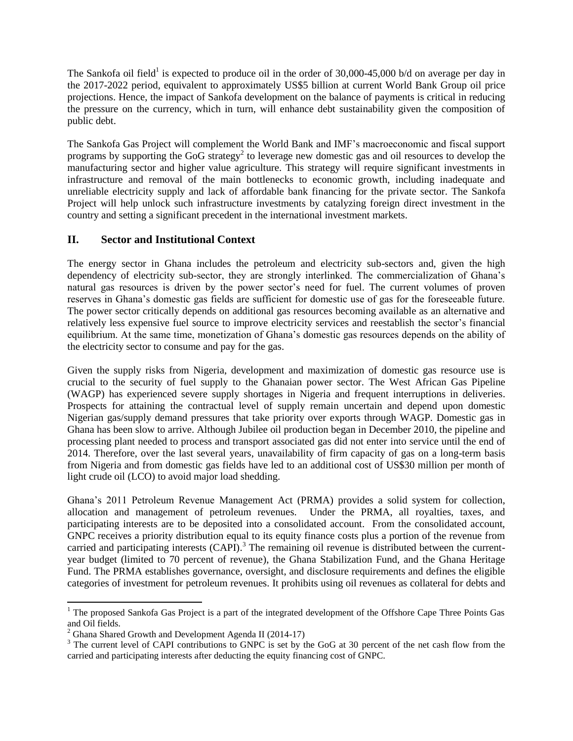The Sankofa oil field<sup>1</sup> is expected to produce oil in the order of 30,000-45,000 b/d on average per day in the 2017-2022 period, equivalent to approximately US\$5 billion at current World Bank Group oil price projections. Hence, the impact of Sankofa development on the balance of payments is critical in reducing the pressure on the currency, which in turn, will enhance debt sustainability given the composition of public debt.

The Sankofa Gas Project will complement the World Bank and IMF's macroeconomic and fiscal support programs by supporting the GoG strategy<sup>2</sup> to leverage new domestic gas and oil resources to develop the manufacturing sector and higher value agriculture. This strategy will require significant investments in infrastructure and removal of the main bottlenecks to economic growth, including inadequate and unreliable electricity supply and lack of affordable bank financing for the private sector. The Sankofa Project will help unlock such infrastructure investments by catalyzing foreign direct investment in the country and setting a significant precedent in the international investment markets.

## **II. Sector and Institutional Context**

The energy sector in Ghana includes the petroleum and electricity sub-sectors and, given the high dependency of electricity sub-sector, they are strongly interlinked. The commercialization of Ghana's natural gas resources is driven by the power sector's need for fuel. The current volumes of proven reserves in Ghana's domestic gas fields are sufficient for domestic use of gas for the foreseeable future. The power sector critically depends on additional gas resources becoming available as an alternative and relatively less expensive fuel source to improve electricity services and reestablish the sector's financial equilibrium. At the same time, monetization of Ghana's domestic gas resources depends on the ability of the electricity sector to consume and pay for the gas.

Given the supply risks from Nigeria, development and maximization of domestic gas resource use is crucial to the security of fuel supply to the Ghanaian power sector. The West African Gas Pipeline (WAGP) has experienced severe supply shortages in Nigeria and frequent interruptions in deliveries. Prospects for attaining the contractual level of supply remain uncertain and depend upon domestic Nigerian gas/supply demand pressures that take priority over exports through WAGP. Domestic gas in Ghana has been slow to arrive. Although Jubilee oil production began in December 2010, the pipeline and processing plant needed to process and transport associated gas did not enter into service until the end of 2014. Therefore, over the last several years, unavailability of firm capacity of gas on a long-term basis from Nigeria and from domestic gas fields have led to an additional cost of US\$30 million per month of light crude oil (LCO) to avoid major load shedding.

Ghana's 2011 Petroleum Revenue Management Act (PRMA) provides a solid system for collection, allocation and management of petroleum revenues. Under the PRMA, all royalties, taxes, and participating interests are to be deposited into a consolidated account. From the consolidated account, GNPC receives a priority distribution equal to its equity finance costs plus a portion of the revenue from carried and participating interests  $(CAPI)$ .<sup>3</sup> The remaining oil revenue is distributed between the currentyear budget (limited to 70 percent of revenue), the Ghana Stabilization Fund, and the Ghana Heritage Fund. The PRMA establishes governance, oversight, and disclosure requirements and defines the eligible categories of investment for petroleum revenues. It prohibits using oil revenues as collateral for debts and

 $\overline{a}$ 

<sup>&</sup>lt;sup>1</sup> The proposed Sankofa Gas Project is a part of the integrated development of the Offshore Cape Three Points Gas and Oil fields.

<sup>&</sup>lt;sup>2</sup> Ghana Shared Growth and Development Agenda II (2014-17)

 $3$  The current level of CAPI contributions to GNPC is set by the GoG at 30 percent of the net cash flow from the carried and participating interests after deducting the equity financing cost of GNPC.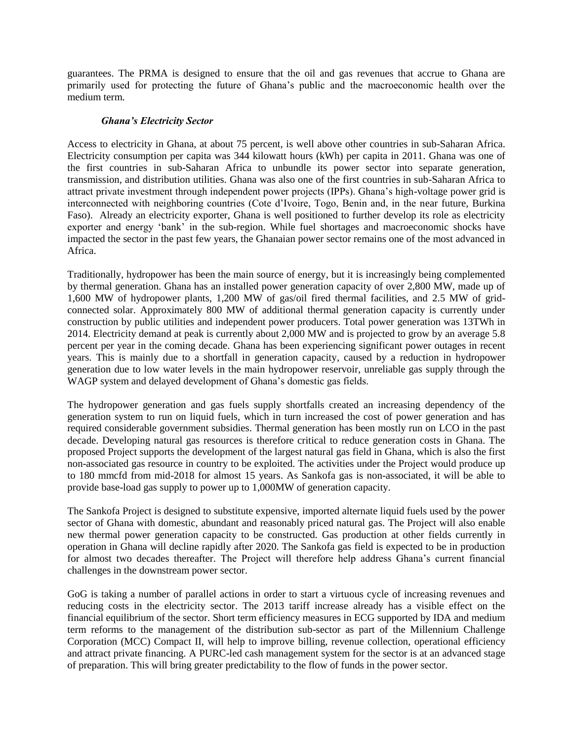guarantees. The PRMA is designed to ensure that the oil and gas revenues that accrue to Ghana are primarily used for protecting the future of Ghana's public and the macroeconomic health over the medium term.

#### *Ghana's Electricity Sector*

Access to electricity in Ghana, at about 75 percent, is well above other countries in sub-Saharan Africa. Electricity consumption per capita was 344 kilowatt hours (kWh) per capita in 2011. Ghana was one of the first countries in sub-Saharan Africa to unbundle its power sector into separate generation, transmission, and distribution utilities. Ghana was also one of the first countries in sub-Saharan Africa to attract private investment through independent power projects (IPPs). Ghana's high-voltage power grid is interconnected with neighboring countries (Cote d'Ivoire, Togo, Benin and, in the near future, Burkina Faso). Already an electricity exporter, Ghana is well positioned to further develop its role as electricity exporter and energy 'bank' in the sub-region. While fuel shortages and macroeconomic shocks have impacted the sector in the past few years, the Ghanaian power sector remains one of the most advanced in Africa.

Traditionally, hydropower has been the main source of energy, but it is increasingly being complemented by thermal generation. Ghana has an installed power generation capacity of over 2,800 MW, made up of 1,600 MW of hydropower plants, 1,200 MW of gas/oil fired thermal facilities, and 2.5 MW of gridconnected solar. Approximately 800 MW of additional thermal generation capacity is currently under construction by public utilities and independent power producers. Total power generation was 13TWh in 2014. Electricity demand at peak is currently about 2,000 MW and is projected to grow by an average 5.8 percent per year in the coming decade. Ghana has been experiencing significant power outages in recent years. This is mainly due to a shortfall in generation capacity, caused by a reduction in hydropower generation due to low water levels in the main hydropower reservoir, unreliable gas supply through the WAGP system and delayed development of Ghana's domestic gas fields.

The hydropower generation and gas fuels supply shortfalls created an increasing dependency of the generation system to run on liquid fuels, which in turn increased the cost of power generation and has required considerable government subsidies. Thermal generation has been mostly run on LCO in the past decade. Developing natural gas resources is therefore critical to reduce generation costs in Ghana. The proposed Project supports the development of the largest natural gas field in Ghana, which is also the first non-associated gas resource in country to be exploited. The activities under the Project would produce up to 180 mmcfd from mid-2018 for almost 15 years. As Sankofa gas is non-associated, it will be able to provide base-load gas supply to power up to 1,000MW of generation capacity.

The Sankofa Project is designed to substitute expensive, imported alternate liquid fuels used by the power sector of Ghana with domestic, abundant and reasonably priced natural gas. The Project will also enable new thermal power generation capacity to be constructed. Gas production at other fields currently in operation in Ghana will decline rapidly after 2020. The Sankofa gas field is expected to be in production for almost two decades thereafter. The Project will therefore help address Ghana's current financial challenges in the downstream power sector.

GoG is taking a number of parallel actions in order to start a virtuous cycle of increasing revenues and reducing costs in the electricity sector. The 2013 tariff increase already has a visible effect on the financial equilibrium of the sector. Short term efficiency measures in ECG supported by IDA and medium term reforms to the management of the distribution sub-sector as part of the Millennium Challenge Corporation (MCC) Compact II, will help to improve billing, revenue collection, operational efficiency and attract private financing. A PURC-led cash management system for the sector is at an advanced stage of preparation. This will bring greater predictability to the flow of funds in the power sector.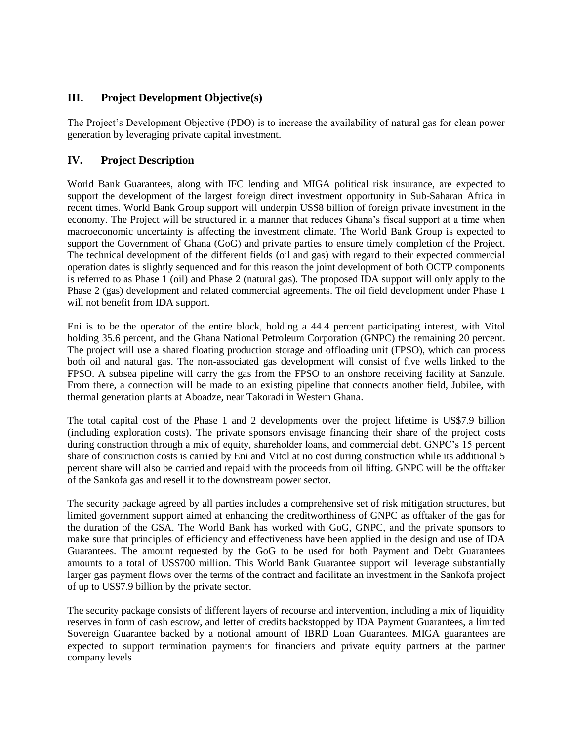## **III. Project Development Objective(s)**

The Project's Development Objective (PDO) is to increase the availability of natural gas for clean power generation by leveraging private capital investment.

## **IV. Project Description**

World Bank Guarantees, along with IFC lending and MIGA political risk insurance, are expected to support the development of the largest foreign direct investment opportunity in Sub-Saharan Africa in recent times. World Bank Group support will underpin US\$8 billion of foreign private investment in the economy. The Project will be structured in a manner that reduces Ghana's fiscal support at a time when macroeconomic uncertainty is affecting the investment climate. The World Bank Group is expected to support the Government of Ghana (GoG) and private parties to ensure timely completion of the Project. The technical development of the different fields (oil and gas) with regard to their expected commercial operation dates is slightly sequenced and for this reason the joint development of both OCTP components is referred to as Phase 1 (oil) and Phase 2 (natural gas). The proposed IDA support will only apply to the Phase 2 (gas) development and related commercial agreements. The oil field development under Phase 1 will not benefit from IDA support.

Eni is to be the operator of the entire block, holding a 44.4 percent participating interest, with Vitol holding 35.6 percent, and the Ghana National Petroleum Corporation (GNPC) the remaining 20 percent. The project will use a shared floating production storage and offloading unit (FPSO), which can process both oil and natural gas. The non-associated gas development will consist of five wells linked to the FPSO. A subsea pipeline will carry the gas from the FPSO to an onshore receiving facility at Sanzule. From there, a connection will be made to an existing pipeline that connects another field, Jubilee, with thermal generation plants at Aboadze, near Takoradi in Western Ghana.

The total capital cost of the Phase 1 and 2 developments over the project lifetime is US\$7.9 billion (including exploration costs). The private sponsors envisage financing their share of the project costs during construction through a mix of equity, shareholder loans, and commercial debt. GNPC's 15 percent share of construction costs is carried by Eni and Vitol at no cost during construction while its additional 5 percent share will also be carried and repaid with the proceeds from oil lifting. GNPC will be the offtaker of the Sankofa gas and resell it to the downstream power sector.

The security package agreed by all parties includes a comprehensive set of risk mitigation structures, but limited government support aimed at enhancing the creditworthiness of GNPC as offtaker of the gas for the duration of the GSA. The World Bank has worked with GoG, GNPC, and the private sponsors to make sure that principles of efficiency and effectiveness have been applied in the design and use of IDA Guarantees. The amount requested by the GoG to be used for both Payment and Debt Guarantees amounts to a total of US\$700 million. This World Bank Guarantee support will leverage substantially larger gas payment flows over the terms of the contract and facilitate an investment in the Sankofa project of up to US\$7.9 billion by the private sector.

The security package consists of different layers of recourse and intervention, including a mix of liquidity reserves in form of cash escrow, and letter of credits backstopped by IDA Payment Guarantees, a limited Sovereign Guarantee backed by a notional amount of IBRD Loan Guarantees. MIGA guarantees are expected to support termination payments for financiers and private equity partners at the partner company levels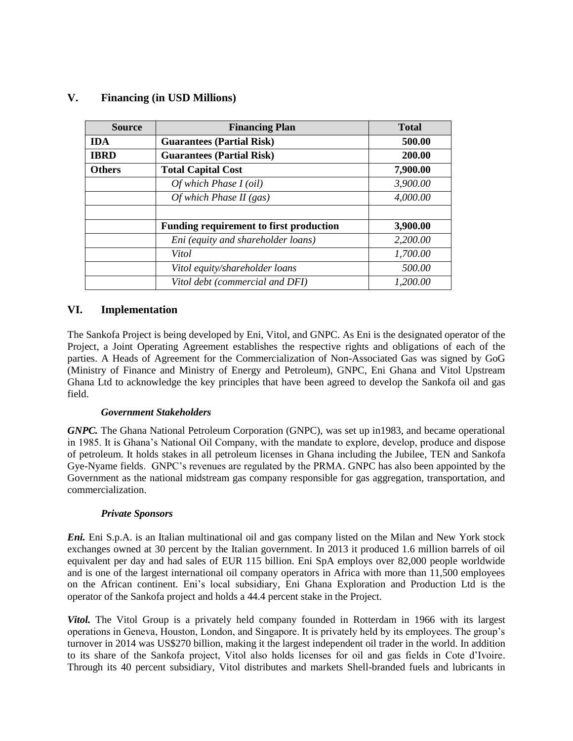| <b>Source</b> | <b>Financing Plan</b>                   | <b>Total</b> |
|---------------|-----------------------------------------|--------------|
| <b>IDA</b>    | <b>Guarantees (Partial Risk)</b>        | 500.00       |
| <b>IBRD</b>   | <b>Guarantees (Partial Risk)</b>        | 200.00       |
| <b>Others</b> | <b>Total Capital Cost</b>               | 7,900.00     |
|               | Of which Phase $I$ (oil)                | 3,900.00     |
|               | Of which Phase II $(gas)$               | 4,000.00     |
|               |                                         |              |
|               | Funding requirement to first production | 3,900.00     |
|               | Eni (equity and shareholder loans)      | 2,200.00     |
|               | Vitol                                   | 1,700.00     |
|               | Vitol equity/shareholder loans          | 500.00       |
|               | Vitol debt (commercial and DFI)         | 1,200.00     |

### **V. Financing (in USD Millions)**

#### **VI. Implementation**

The Sankofa Project is being developed by Eni, Vitol, and GNPC. As Eni is the designated operator of the Project, a Joint Operating Agreement establishes the respective rights and obligations of each of the parties. A Heads of Agreement for the Commercialization of Non-Associated Gas was signed by GoG (Ministry of Finance and Ministry of Energy and Petroleum), GNPC, Eni Ghana and Vitol Upstream Ghana Ltd to acknowledge the key principles that have been agreed to develop the Sankofa oil and gas field.

#### *Government Stakeholders*

*GNPC.* The Ghana National Petroleum Corporation (GNPC), was set up in1983, and became operational in 1985. It is Ghana's National Oil Company, with the mandate to explore, develop, produce and dispose of petroleum. It holds stakes in all petroleum licenses in Ghana including the Jubilee, TEN and Sankofa Gye-Nyame fields. GNPC's revenues are regulated by the PRMA. GNPC has also been appointed by the Government as the national midstream gas company responsible for gas aggregation, transportation, and commercialization.

#### *Private Sponsors*

*Eni.* Eni S.p.A. is an Italian multinational oil and gas company listed on the Milan and New York stock exchanges owned at 30 percent by the Italian government. In 2013 it produced 1.6 million barrels of oil equivalent per day and had sales of EUR 115 billion. Eni SpA employs over 82,000 people worldwide and is one of the largest international oil company operators in Africa with more than 11,500 employees on the African continent. Eni's local subsidiary, Eni Ghana Exploration and Production Ltd is the operator of the Sankofa project and holds a 44.4 percent stake in the Project.

*Vitol.* The Vitol Group is a privately held company founded in Rotterdam in 1966 with its largest operations in Geneva, Houston, London, and Singapore. It is privately held by its employees. The group's turnover in 2014 was US\$270 billion, making it the largest independent oil trader in the world. In addition to its share of the Sankofa project, Vitol also holds licenses for oil and gas fields in Cote d'Ivoire. Through its 40 percent subsidiary, Vitol distributes and markets Shell-branded fuels and lubricants in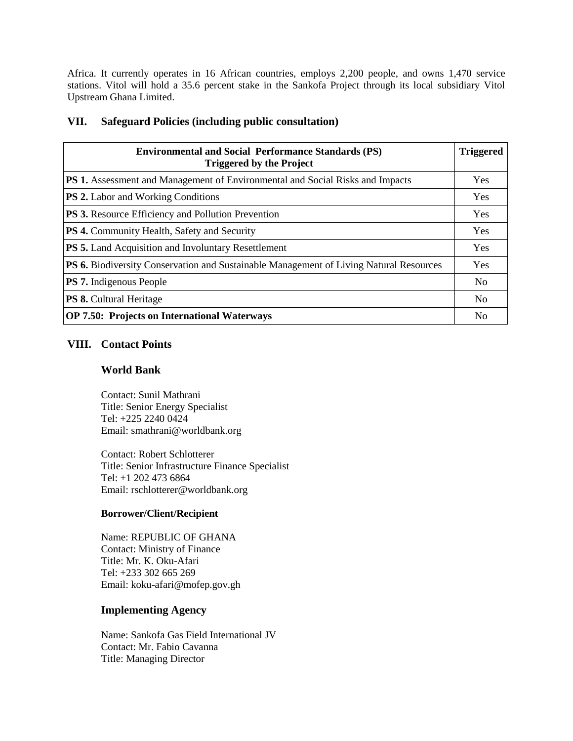Africa. It currently operates in 16 African countries, employs 2,200 people, and owns 1,470 service stations. Vitol will hold a 35.6 percent stake in the Sankofa Project through its local subsidiary Vitol Upstream Ghana Limited.

### **VII. Safeguard Policies (including public consultation)**

| <b>Environmental and Social Performance Standards (PS)</b><br><b>Triggered by the Project</b> |     |
|-----------------------------------------------------------------------------------------------|-----|
| <b>PS 1.</b> Assessment and Management of Environmental and Social Risks and Impacts          |     |
| <b>PS 2.</b> Labor and Working Conditions                                                     |     |
| <b>PS 3.</b> Resource Efficiency and Pollution Prevention                                     | Yes |
| <b>PS 4.</b> Community Health, Safety and Security                                            |     |
| <b>PS 5.</b> Land Acquisition and Involuntary Resettlement                                    |     |
| <b>PS 6.</b> Biodiversity Conservation and Sustainable Management of Living Natural Resources |     |
| <b>PS 7.</b> Indigenous People                                                                |     |
| <b>PS 8.</b> Cultural Heritage                                                                |     |
| <b>OP 7.50: Projects on International Waterways</b>                                           |     |

## **VIII. Contact Points**

### **World Bank**

Contact: Sunil Mathrani Title: Senior Energy Specialist Tel: +225 2240 0424 Email: smathrani@worldbank.org

Contact: Robert Schlotterer Title: Senior Infrastructure Finance Specialist Tel: +1 202 473 6864 Email: rschlotterer@worldbank.org

#### **Borrower/Client/Recipient**

Name: REPUBLIC OF GHANA Contact: Ministry of Finance Title: Mr. K. Oku-Afari Tel: +233 302 665 269 Email: koku-afari@mofep.gov.gh

### **Implementing Agency**

Name: Sankofa Gas Field International JV Contact: Mr. Fabio Cavanna Title: Managing Director